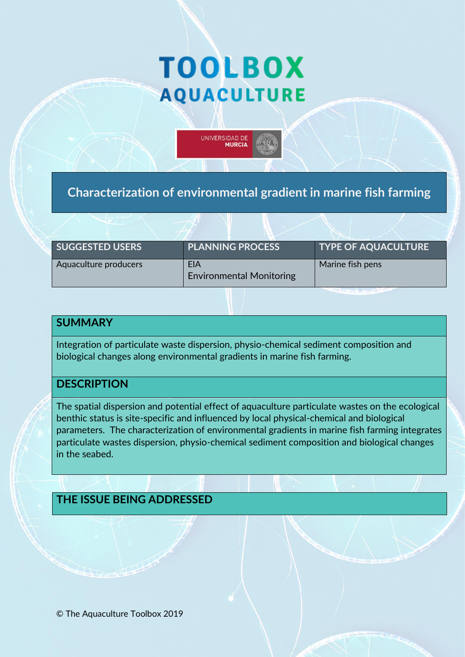# **TOOLBOX AQUACULTURE**

UNIVERSIDAD DE **MURCIA** 

**Characterization of environmental gradient in marine fish farming** 

| <b>SUGGESTED USERS</b> | <b>PLANNING PROCESS</b>                | <b>TYPE OF AQUACULTURE</b> |
|------------------------|----------------------------------------|----------------------------|
| Aquaculture producers  | EIA<br><b>Environmental Monitoring</b> | Marine fish pens           |

# **SUMMARY**

Integration of particulate waste dispersion, physio-chemical sediment composition and biological changes along environmental gradients in marine fish farming.

## **DESCRIPTION**

The spatial dispersion and potential effect of aquaculture particulate wastes on the ecological benthic status is site-specific and influenced by local physical-chemical and biological parameters. The characterization of environmental gradients in marine fish farming integrates particulate wastes dispersion, physio-chemical sediment composition and biological changes in the seabed.

#### **THE ISSUE BEING ADDRESSED**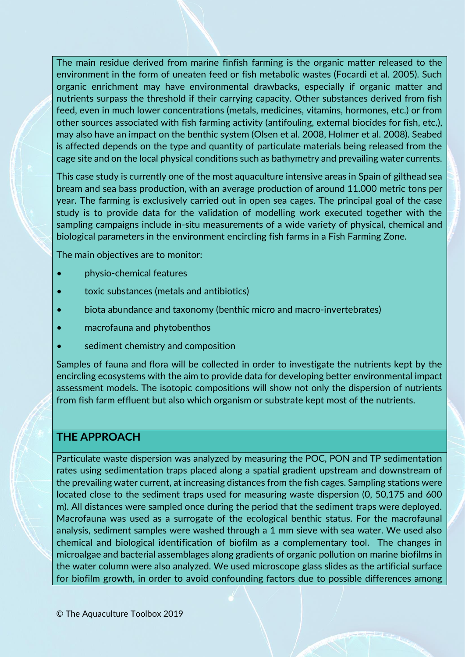The main residue derived from marine finfish farming is the organic matter released to the environment in the form of uneaten feed or fish metabolic wastes (Focardi et al. 2005). Such organic enrichment may have environmental drawbacks, especially if organic matter and nutrients surpass the threshold if their carrying capacity. Other substances derived from fish feed, even in much lower concentrations (metals, medicines, vitamins, hormones, etc.) or from other sources associated with fish farming activity (antifouling, external biocides for fish, etc.), may also have an impact on the benthic system (Olsen et al. 2008, Holmer et al. 2008). Seabed is affected depends on the type and quantity of particulate materials being released from the cage site and on the local physical conditions such as bathymetry and prevailing water currents.

This case study is currently one of the most aquaculture intensive areas in Spain of gilthead sea bream and sea bass production, with an average production of around 11.000 metric tons per year. The farming is exclusively carried out in open sea cages. The principal goal of the case study is to provide data for the validation of modelling work executed together with the sampling campaigns include in-situ measurements of a wide variety of physical, chemical and biological parameters in the environment encircling fish farms in a Fish Farming Zone.

The main objectives are to monitor:

- physio-chemical features
- toxic substances (metals and antibiotics)
- biota abundance and taxonomy (benthic micro and macro-invertebrates)
- macrofauna and phytobenthos
- sediment chemistry and composition

Samples of fauna and flora will be collected in order to investigate the nutrients kept by the encircling ecosystems with the aim to provide data for developing better environmental impact assessment models. The isotopic compositions will show not only the dispersion of nutrients from fish farm effluent but also which organism or substrate kept most of the nutrients.

## **THE APPROACH**

Particulate waste dispersion was analyzed by measuring the POC, PON and TP sedimentation rates using sedimentation traps placed along a spatial gradient upstream and downstream of the prevailing water current, at increasing distances from the fish cages. Sampling stations were located close to the sediment traps used for measuring waste dispersion (0, 50,175 and 600 m). All distances were sampled once during the period that the sediment traps were deployed. Macrofauna was used as a surrogate of the ecological benthic status. For the macrofaunal analysis, sediment samples were washed through a 1 mm sieve with sea water. We used also chemical and biological identification of biofilm as a complementary tool. The changes in microalgae and bacterial assemblages along gradients of organic pollution on marine biofilms in the water column were also analyzed. We used microscope glass slides as the artificial surface for biofilm growth, in order to avoid confounding factors due to possible differences among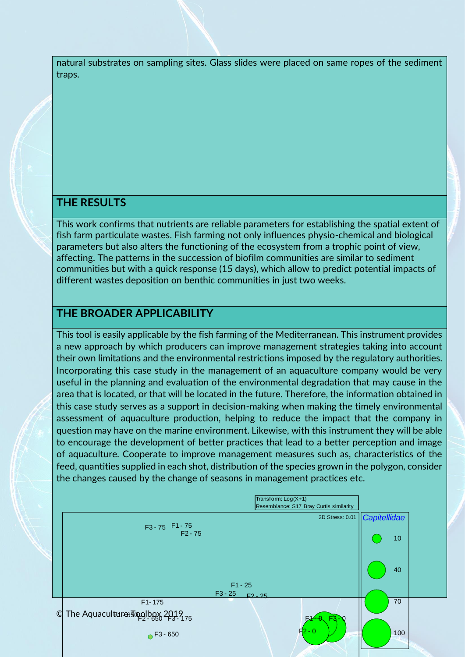natural substrates on sampling sites. Glass slides were placed on same ropes of the sediment traps.

#### **THE RESULTS**

This work confirms that nutrients are reliable parameters for establishing the spatial extent of fish farm particulate wastes. Fish farming not only influences physio-chemical and biological parameters but also alters the functioning of the ecosystem from a trophic point of view, affecting. The patterns in the succession of biofilm communities are similar to sediment communities but with a quick response (15 days), which allow to predict potential impacts of different wastes deposition on benthic communities in just two weeks.

## **THE BROADER APPLICABILITY**

This tool is easily applicable by the fish farming of the Mediterranean. This instrument provides a new approach by which producers can improve management strategies taking into account their own limitations and the environmental restrictions imposed by the regulatory authorities. Incorporating this case study in the management of an aquaculture company would be very useful in the planning and evaluation of the environmental degradation that may cause in the area that is located, or that will be located in the future. Therefore, the information obtained in this case study serves as a support in decision-making when making the timely environmental assessment of aquaculture production, helping to reduce the impact that the company in question may have on the marine environment. Likewise, with this instrument they will be able to encourage the development of better practices that lead to a better perception and image of aquaculture. Cooperate to improve management measures such as, characteristics of the feed, quantities supplied in each shot, distribution of the species grown in the polygon, consider the changes caused by the change of seasons in management practices etc.

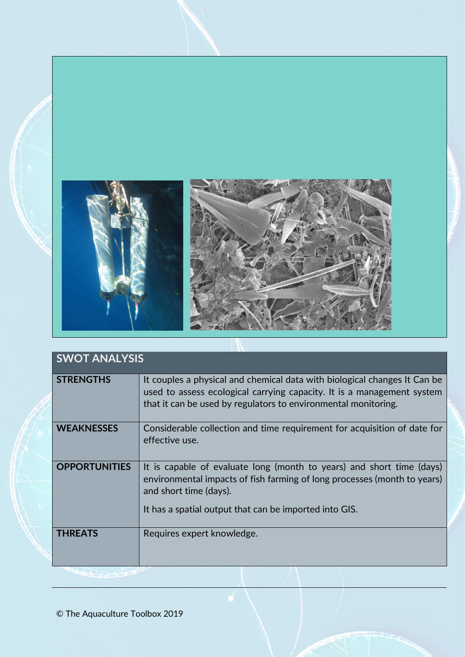

| <b>SWOT ANALYSIS</b> |                                                                                                                                                                                                                                       |  |
|----------------------|---------------------------------------------------------------------------------------------------------------------------------------------------------------------------------------------------------------------------------------|--|
| <b>STRENGTHS</b>     | It couples a physical and chemical data with biological changes It Can be<br>used to assess ecological carrying capacity. It is a management system<br>that it can be used by regulators to environmental monitoring.                 |  |
| <b>WEAKNESSES</b>    | Considerable collection and time requirement for acquisition of date for<br>effective use.                                                                                                                                            |  |
| <b>OPPORTUNITIES</b> | It is capable of evaluate long (month to years) and short time (days)<br>environmental impacts of fish farming of long processes (month to years)<br>and short time (days).<br>It has a spatial output that can be imported into GIS. |  |
| <b>THREATS</b>       | Requires expert knowledge.                                                                                                                                                                                                            |  |

© The Aquaculture Toolbox 2019